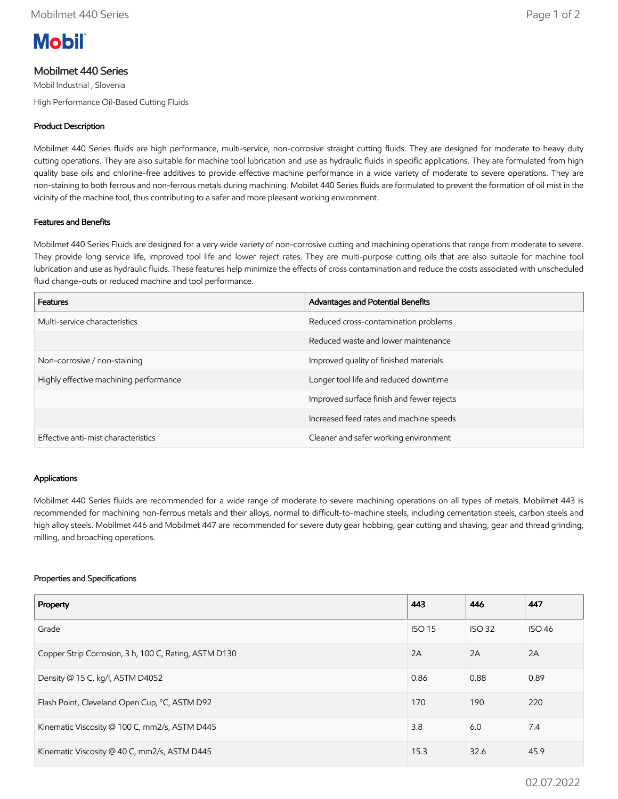

# Mobilmet 440 Series

Mobil Industrial , Slovenia

High Performance Oil-Based Cutting Fluids

### Product Description

Mobilmet 440 Series fluids are high performance, multi-service, non-corrosive straight cutting fluids. They are designed for moderate to heavy duty cutting operations. They are also suitable for machine tool lubrication and use as hydraulic fluids in specific applications. They are formulated from high quality base oils and chlorine-free additives to provide effective machine performance in a wide variety of moderate to severe operations. They are non-staining to both ferrous and non-ferrous metals during machining. Mobilet 440 Series fluids are formulated to prevent the formation of oil mist in the vicinity of the machine tool, thus contributing to a safer and more pleasant working environment.

### Features and Benefits

Mobilmet 440 Series Fluids are designed for a very wide variety of non-corrosive cutting and machining operations that range from moderate to severe. They provide long service life, improved tool life and lower reject rates. They are multi-purpose cutting oils that are also suitable for machine tool lubrication and use as hydraulic fluids. These features help minimize the effects of cross contamination and reduce the costs associated with unscheduled fluid change-outs or reduced machine and tool performance.

| <b>Features</b>                        | Advantages and Potential Benefits         |
|----------------------------------------|-------------------------------------------|
| Multi-service characteristics          | Reduced cross-contamination problems      |
|                                        | Reduced waste and lower maintenance       |
| Non-corrosive / non-staining           | Improved quality of finished materials    |
| Highly effective machining performance | Longer tool life and reduced downtime     |
|                                        | Improved surface finish and fewer rejects |
|                                        | Increased feed rates and machine speeds   |
| Effective anti-mist characteristics    | Cleaner and safer working environment     |

#### Applications

Mobilmet 440 Series fluids are recommended for a wide range of moderate to severe machining operations on all types of metals. Mobilmet 443 is recommended for machining non-ferrous metals and their alloys, normal to difficult-to-machine steels, including cementation steels, carbon steels and high alloy steels. Mobilmet 446 and Mobilmet 447 are recommended for severe duty gear hobbing, gear cutting and shaving, gear and thread grinding, milling, and broaching operations.

#### Properties and Specifications

| Property                                              | 443           | 446           | 447           |
|-------------------------------------------------------|---------------|---------------|---------------|
| Grade                                                 | <b>ISO 15</b> | <b>ISO 32</b> | <b>ISO 46</b> |
| Copper Strip Corrosion, 3 h, 100 C, Rating, ASTM D130 |               | 2A            | 2A            |
| Density @ 15 C, kg/l, ASTM D4052                      |               | 0.88          | 0.89          |
| Flash Point, Cleveland Open Cup, °C, ASTM D92         |               | 190           | 220           |
| Kinematic Viscosity @ 100 C, mm2/s, ASTM D445         |               | 6.0           | 7.4           |
| Kinematic Viscosity @ 40 C, mm2/s, ASTM D445          |               | 32.6          | 45.9          |